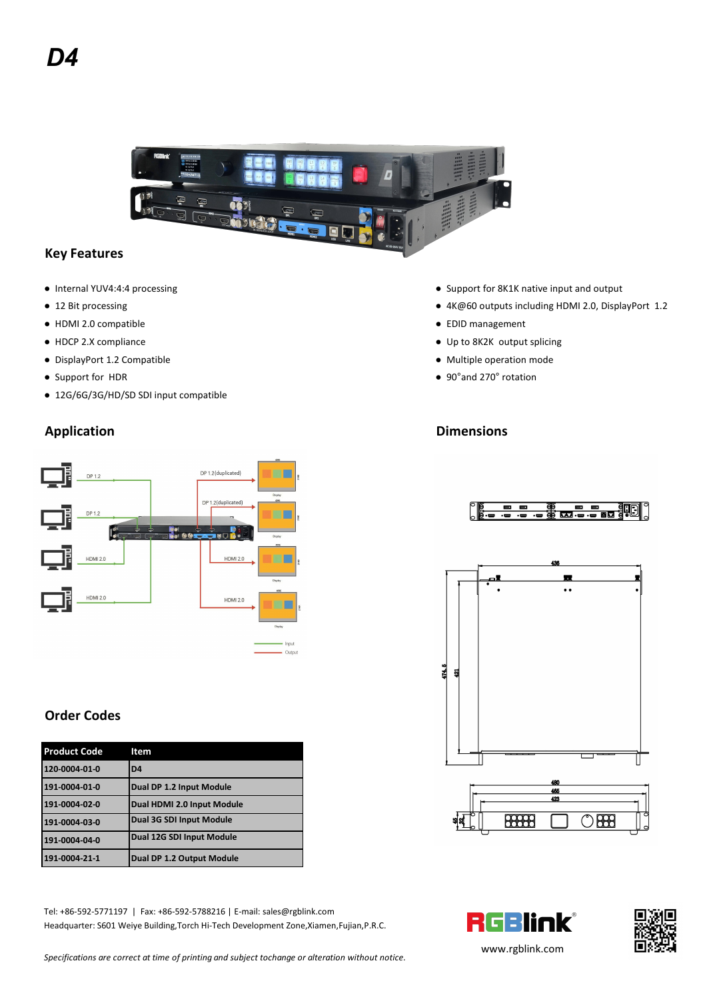

### **Key Features**

- 
- 
- HDMI 2.0 compatible EDID management
- 
- DisplayPort 1.2 Compatible example of the matrix of the Multiple operation mode
- 
- 12G/6G/3G/HD/SD SDI input compatible
- Internal YUV4:4:4 processing example and output and output and output building and output and output and output
- 12 Bit processing example and the set of the set of the set of the set of the set of the set of the set of the set of the set of the set of the set of the set of the set of the set of the set of the set of the set of th
	-
- HDCP 2.X compliance Up to 8K2K output splicing
	-
- Support for HDR 90°and 270° rotation

# **Application Dimensions**



## **Order Codes**

| <b>Product Code</b> | Item                       |
|---------------------|----------------------------|
| 120-0004-01-0       | D <sub>4</sub>             |
| 191-0004-01-0       | Dual DP 1.2 Input Module   |
| 191-0004-02-0       | Dual HDMI 2.0 Input Module |
| 191-0004-03-0       | Dual 3G SDI Input Module   |
| 191-0004-04-0       | Dual 12G SDI Input Module  |
| 191-0004-21-1       | Dual DP 1.2 Output Module  |

Tel: +86-592-5771197 | Fax: +86-592-5788216 | E-mail: sales@rgblink.com<br>Headquarter: S601 Weiye Building,Torch Hi-Tech Development Zone,Xiamen,Fujian,P.R.C. Headquarter: S601 Weiye Building,Torch Hi-Tech Development Zone,Xiamen,Fujian,P.R.C.









*Specifications are correct at time of printing and subject tochange or alteration without notice.*